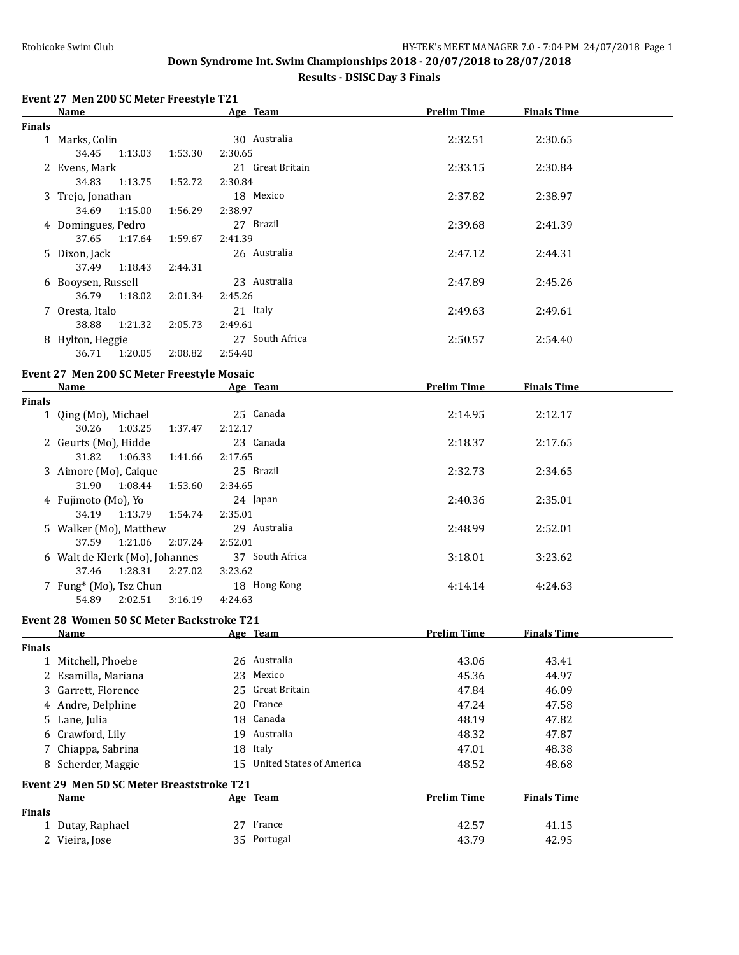### **Results - DSISC Day 3 Finals**

### **Event 27 Men 200 SC Meter Freestyle T21**

|               | <b>Name</b>                                                                                                                                                                                                                    |                    | Age Team                    | <b>Prelim Time</b> | <b>Finals Time</b> |  |
|---------------|--------------------------------------------------------------------------------------------------------------------------------------------------------------------------------------------------------------------------------|--------------------|-----------------------------|--------------------|--------------------|--|
| <b>Finals</b> |                                                                                                                                                                                                                                |                    |                             |                    |                    |  |
|               | 1 Marks, Colin                                                                                                                                                                                                                 |                    | 30 Australia                | 2:32.51            | 2:30.65            |  |
|               | 34.45<br>1:13.03                                                                                                                                                                                                               | 2:30.65<br>1:53.30 |                             |                    |                    |  |
|               | 2 Evens, Mark                                                                                                                                                                                                                  |                    | 21 Great Britain            | 2:33.15            | 2:30.84            |  |
|               | 34.83<br>1:13.75                                                                                                                                                                                                               | 1:52.72<br>2:30.84 |                             |                    |                    |  |
|               | 3 Trejo, Jonathan                                                                                                                                                                                                              |                    | 18 Mexico                   | 2:37.82            | 2:38.97            |  |
|               | 34.69<br>1:15.00                                                                                                                                                                                                               | 1:56.29<br>2:38.97 |                             |                    |                    |  |
|               | 4 Domingues, Pedro                                                                                                                                                                                                             |                    | 27 Brazil                   | 2:39.68            | 2:41.39            |  |
|               | 37.65<br>1:17.64                                                                                                                                                                                                               | 2:41.39<br>1:59.67 |                             |                    |                    |  |
|               | 5 Dixon, Jack                                                                                                                                                                                                                  |                    | 26 Australia                | 2:47.12            | 2:44.31            |  |
|               | 37.49<br>1:18.43                                                                                                                                                                                                               | 2:44.31            |                             |                    |                    |  |
|               | 6 Booysen, Russell                                                                                                                                                                                                             |                    | 23 Australia                | 2:47.89            | 2:45.26            |  |
|               | 36.79<br>1:18.02                                                                                                                                                                                                               | 2:45.26<br>2:01.34 |                             |                    |                    |  |
|               | 7 Oresta, Italo                                                                                                                                                                                                                |                    | 21 Italy                    | 2:49.63            | 2:49.61            |  |
|               | 38.88<br>1:21.32                                                                                                                                                                                                               | 2:49.61<br>2:05.73 |                             |                    |                    |  |
|               | 8 Hylton, Heggie                                                                                                                                                                                                               |                    | 27 South Africa             | 2:50.57            | 2:54.40            |  |
|               | 36.71<br>1:20.05                                                                                                                                                                                                               | 2:08.82<br>2:54.40 |                             |                    |                    |  |
|               |                                                                                                                                                                                                                                |                    |                             |                    |                    |  |
|               | Event 27 Men 200 SC Meter Freestyle Mosaic                                                                                                                                                                                     |                    |                             |                    |                    |  |
|               | Name and the state of the state of the state of the state of the state of the state of the state of the state of the state of the state of the state of the state of the state of the state of the state of the state of the s |                    | Age Team                    | <b>Prelim Time</b> | <b>Finals Time</b> |  |
| <b>Finals</b> | 1 Qing (Mo), Michael                                                                                                                                                                                                           |                    | 25 Canada                   | 2:14.95            | 2:12.17            |  |
|               | 30.26<br>1:03.25                                                                                                                                                                                                               | 2:12.17<br>1:37.47 |                             |                    |                    |  |
|               | 2 Geurts (Mo), Hidde                                                                                                                                                                                                           |                    | 23 Canada                   | 2:18.37            | 2:17.65            |  |
|               | 31.82<br>1:06.33                                                                                                                                                                                                               | 1:41.66<br>2:17.65 |                             |                    |                    |  |
|               |                                                                                                                                                                                                                                |                    | 25 Brazil                   |                    |                    |  |
|               | 3 Aimore (Mo), Caique<br>31.90<br>1:08.44                                                                                                                                                                                      | 2:34.65            |                             | 2:32.73            | 2:34.65            |  |
|               |                                                                                                                                                                                                                                | 1:53.60            |                             |                    |                    |  |
|               | 4 Fujimoto (Mo), Yo                                                                                                                                                                                                            |                    | 24 Japan                    | 2:40.36            | 2:35.01            |  |
|               | 34.19<br>1:13.79                                                                                                                                                                                                               | 1:54.74<br>2:35.01 |                             |                    |                    |  |
|               | 5 Walker (Mo), Matthew<br>37.59                                                                                                                                                                                                |                    | 29 Australia                | 2:48.99            | 2:52.01            |  |
|               | 1:21.06                                                                                                                                                                                                                        | 2:07.24<br>2:52.01 | 37 South Africa             |                    |                    |  |
|               | 6 Walt de Klerk (Mo), Johannes<br>37.46<br>1:28.31<br>2:27.02                                                                                                                                                                  | 3:23.62            |                             | 3:18.01            | 3:23.62            |  |
|               |                                                                                                                                                                                                                                |                    |                             |                    |                    |  |
|               | 7 Fung* (Mo), Tsz Chun<br>54.89<br>2:02.51                                                                                                                                                                                     | 3:16.19<br>4:24.63 | 18 Hong Kong                | 4:14.14            | 4:24.63            |  |
|               |                                                                                                                                                                                                                                |                    |                             |                    |                    |  |
|               | Event 28 Women 50 SC Meter Backstroke T21                                                                                                                                                                                      |                    |                             |                    |                    |  |
|               | <b>Name</b>                                                                                                                                                                                                                    |                    | Age Team                    | <b>Prelim Time</b> | <b>Finals Time</b> |  |
| Finals        |                                                                                                                                                                                                                                |                    |                             |                    |                    |  |
|               | 1 Mitchell, Phoebe                                                                                                                                                                                                             |                    | 26 Australia                | 43.06              | 43.41              |  |
|               | 2 Esamilla, Mariana                                                                                                                                                                                                            |                    | 23 Mexico                   | 45.36              | 44.97              |  |
|               | 3 Garrett, Florence                                                                                                                                                                                                            |                    | 25 Great Britain            | 47.84              | 46.09              |  |
|               | 4 Andre, Delphine                                                                                                                                                                                                              |                    | 20 France                   | 47.24              | 47.58              |  |
|               | 5 Lane, Julia                                                                                                                                                                                                                  |                    | 18 Canada                   | 48.19              | 47.82              |  |
|               | 6 Crawford, Lily                                                                                                                                                                                                               |                    | 19 Australia                | 48.32              | 47.87              |  |
|               | 7 Chiappa, Sabrina                                                                                                                                                                                                             |                    | 18 Italy                    | 47.01              | 48.38              |  |
|               | 8 Scherder, Maggie                                                                                                                                                                                                             |                    | 15 United States of America | 48.52              | 48.68              |  |
|               | Event 29 Men 50 SC Meter Breaststroke T21                                                                                                                                                                                      |                    |                             |                    |                    |  |
|               | <u>Name</u>                                                                                                                                                                                                                    |                    | Age Team                    | <b>Prelim Time</b> | <b>Finals Time</b> |  |
| <b>Finals</b> |                                                                                                                                                                                                                                |                    |                             |                    |                    |  |
|               | 1 Dutay, Raphael                                                                                                                                                                                                               |                    | 27 France                   | 42.57              | 41.15              |  |
|               | 2 Vieira, Jose                                                                                                                                                                                                                 |                    | 35 Portugal                 | 43.79              | 42.95              |  |
|               |                                                                                                                                                                                                                                |                    |                             |                    |                    |  |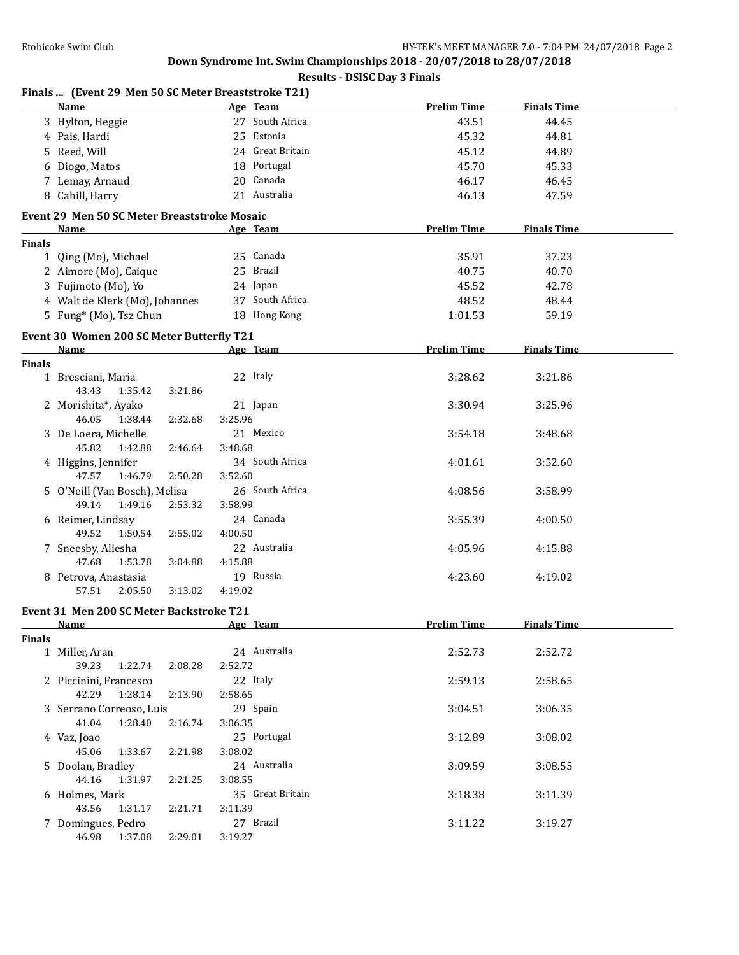### **Results - DSISC Day 3 Finals**

|               | Finals  (Event 29 Men 50 SC Meter Breaststroke T21)                                                                                                                                                                            |         |                  |                    |                    |  |
|---------------|--------------------------------------------------------------------------------------------------------------------------------------------------------------------------------------------------------------------------------|---------|------------------|--------------------|--------------------|--|
|               | Name                                                                                                                                                                                                                           |         | Age Team         | <b>Prelim Time</b> | <b>Finals Time</b> |  |
|               | 3 Hylton, Heggie                                                                                                                                                                                                               |         | 27 South Africa  | 43.51              | 44.45              |  |
|               | 4 Pais, Hardi                                                                                                                                                                                                                  |         | 25 Estonia       | 45.32              | 44.81              |  |
|               | 5 Reed, Will                                                                                                                                                                                                                   |         | 24 Great Britain | 45.12              | 44.89              |  |
|               | 6 Diogo, Matos                                                                                                                                                                                                                 |         | 18 Portugal      | 45.70              | 45.33              |  |
|               | 7 Lemay, Arnaud                                                                                                                                                                                                                |         | 20 Canada        | 46.17              | 46.45              |  |
|               | 8 Cahill, Harry                                                                                                                                                                                                                |         | 21 Australia     | 46.13              | 47.59              |  |
|               | Event 29 Men 50 SC Meter Breaststroke Mosaic                                                                                                                                                                                   |         |                  |                    |                    |  |
|               | Name                                                                                                                                                                                                                           |         | Age Team         | <b>Prelim Time</b> | <b>Finals Time</b> |  |
| <b>Finals</b> |                                                                                                                                                                                                                                |         |                  |                    |                    |  |
|               | 1 Qing (Mo), Michael                                                                                                                                                                                                           |         | 25 Canada        | 35.91              | 37.23              |  |
|               | 2 Aimore (Mo), Caique                                                                                                                                                                                                          |         | 25 Brazil        | 40.75              | 40.70              |  |
|               | 3 Fujimoto (Mo), Yo                                                                                                                                                                                                            |         | 24 Japan         | 45.52              | 42.78              |  |
|               | 4 Walt de Klerk (Mo), Johannes                                                                                                                                                                                                 |         | 37 South Africa  | 48.52              | 48.44              |  |
|               | 5 Fung* (Mo), Tsz Chun                                                                                                                                                                                                         |         | 18 Hong Kong     | 1:01.53            | 59.19              |  |
|               |                                                                                                                                                                                                                                |         |                  |                    |                    |  |
|               | Event 30 Women 200 SC Meter Butterfly T21                                                                                                                                                                                      |         |                  |                    |                    |  |
|               | Name and the state of the state of the state of the state of the state of the state of the state of the state of the state of the state of the state of the state of the state of the state of the state of the state of the s |         | Age Team         | <b>Prelim Time</b> | <b>Finals Time</b> |  |
| Finals        | 1 Bresciani, Maria                                                                                                                                                                                                             |         | 22 Italy         | 3:28.62            | 3:21.86            |  |
|               | 1:35.42<br>43.43<br>3:21.86                                                                                                                                                                                                    |         |                  |                    |                    |  |
|               |                                                                                                                                                                                                                                |         |                  |                    |                    |  |
|               | 2 Morishita*, Ayako<br>46.05<br>1:38.44                                                                                                                                                                                        |         | 21 Japan         | 3:30.94            | 3:25.96            |  |
|               | 2:32.68                                                                                                                                                                                                                        | 3:25.96 | 21 Mexico        |                    |                    |  |
|               | 3 De Loera, Michelle                                                                                                                                                                                                           |         |                  | 3:54.18            | 3:48.68            |  |
|               | 45.82<br>1:42.88<br>2:46.64                                                                                                                                                                                                    | 3:48.68 |                  |                    |                    |  |
|               | 4 Higgins, Jennifer                                                                                                                                                                                                            |         | 34 South Africa  | 4:01.61            | 3:52.60            |  |
|               | 47.57<br>1:46.79<br>2:50.28                                                                                                                                                                                                    | 3:52.60 |                  |                    |                    |  |
|               | 5 O'Neill (Van Bosch), Melisa                                                                                                                                                                                                  |         | 26 South Africa  | 4:08.56            | 3:58.99            |  |
|               | 49.14<br>1:49.16<br>2:53.32                                                                                                                                                                                                    | 3:58.99 |                  |                    |                    |  |
|               | 6 Reimer, Lindsay                                                                                                                                                                                                              |         | 24 Canada        | 3:55.39            | 4:00.50            |  |
|               | 49.52<br>1:50.54<br>2:55.02                                                                                                                                                                                                    | 4:00.50 |                  |                    |                    |  |
|               | 7 Sneesby, Aliesha                                                                                                                                                                                                             |         | 22 Australia     | 4:05.96            | 4:15.88            |  |
|               | 47.68<br>1:53.78<br>3:04.88                                                                                                                                                                                                    | 4:15.88 |                  |                    |                    |  |
|               | 8 Petrova, Anastasia                                                                                                                                                                                                           |         | 19 Russia        | 4:23.60            | 4:19.02            |  |
|               | 3:13.02<br>57.51<br>2:05.50                                                                                                                                                                                                    | 4:19.02 |                  |                    |                    |  |
|               | Event 31 Men 200 SC Meter Backstroke T21                                                                                                                                                                                       |         |                  |                    |                    |  |
|               | Name Age Team                                                                                                                                                                                                                  |         |                  | Prelim Time        | <b>Finals Time</b> |  |
| <b>Finals</b> |                                                                                                                                                                                                                                |         |                  |                    |                    |  |
|               | 1 Miller, Aran                                                                                                                                                                                                                 |         | 24 Australia     | 2:52.73            | 2:52.72            |  |
|               | 39.23<br>1:22.74<br>2:08.28                                                                                                                                                                                                    | 2:52.72 |                  |                    |                    |  |
|               | 2 Piccinini, Francesco                                                                                                                                                                                                         |         | 22 Italy         | 2:59.13            | 2:58.65            |  |
|               | 1:28.14<br>42.29<br>2:13.90                                                                                                                                                                                                    | 2:58.65 |                  |                    |                    |  |
|               | 3 Serrano Correoso, Luis                                                                                                                                                                                                       |         | 29 Spain         | 3:04.51            | 3:06.35            |  |
|               | 41.04<br>1:28.40<br>2:16.74                                                                                                                                                                                                    | 3:06.35 |                  |                    |                    |  |
|               | 4 Vaz, Joao                                                                                                                                                                                                                    |         | 25 Portugal      | 3:12.89            | 3:08.02            |  |
|               | 45.06<br>1:33.67<br>2:21.98                                                                                                                                                                                                    | 3:08.02 |                  |                    |                    |  |
|               | 5 Doolan, Bradley                                                                                                                                                                                                              |         | 24 Australia     | 3:09.59            | 3:08.55            |  |
|               | 44.16<br>1:31.97<br>2:21.25                                                                                                                                                                                                    | 3:08.55 |                  |                    |                    |  |
|               | 6 Holmes, Mark                                                                                                                                                                                                                 |         | 35 Great Britain | 3:18.38            | 3:11.39            |  |
|               | 43.56<br>1:31.17<br>2:21.71                                                                                                                                                                                                    | 3:11.39 |                  |                    |                    |  |
|               | 7 Domingues, Pedro                                                                                                                                                                                                             |         | 27 Brazil        | 3:11.22            | 3:19.27            |  |
|               | 46.98<br>1:37.08<br>2:29.01                                                                                                                                                                                                    | 3:19.27 |                  |                    |                    |  |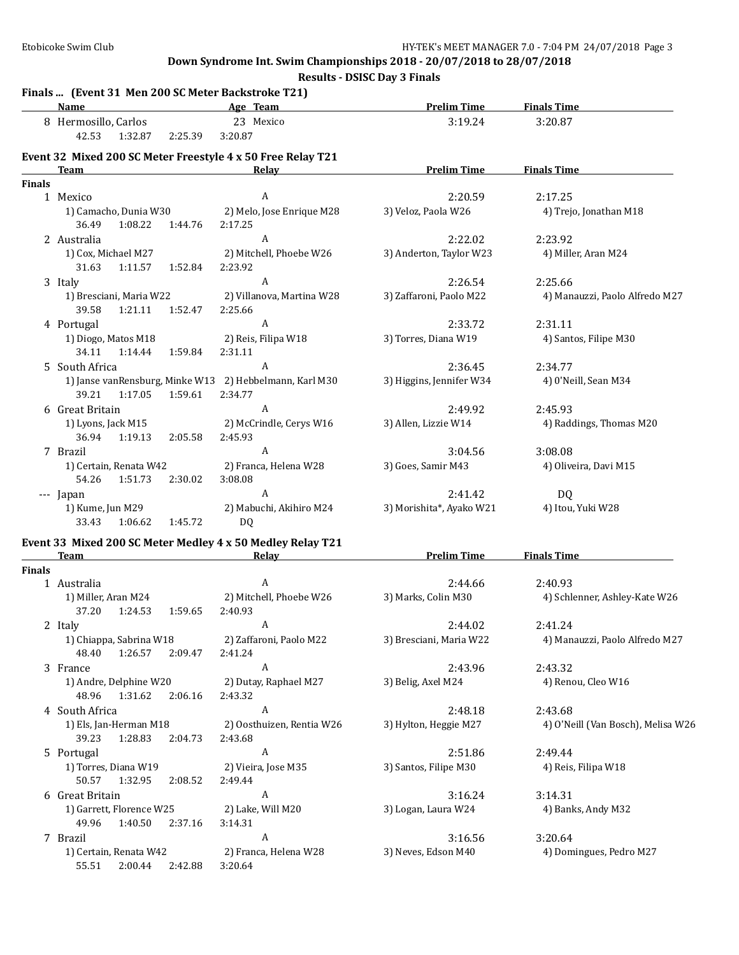**Results - DSISC Day 3 Finals**

|               | Name<br><b>Example 2016</b> Age Team                                                   |                                      | <b>Prelim Time</b>       | <b>Finals Time</b>                 |
|---------------|----------------------------------------------------------------------------------------|--------------------------------------|--------------------------|------------------------------------|
|               | 8 Hermosillo, Carlos                                                                   | 23 Mexico                            | 3:19.24                  | 3:20.87                            |
|               | 42.53<br>1:32.87<br>2:25.39                                                            | 3:20.87                              |                          |                                    |
|               | Event 32 Mixed 200 SC Meter Freestyle 4 x 50 Free Relay T21                            |                                      |                          |                                    |
|               | <b>Team</b>                                                                            | Relay                                | <b>Prelim Time</b>       | <b>Finals Time</b>                 |
| <b>Finals</b> |                                                                                        |                                      |                          |                                    |
|               | 1 Mexico                                                                               | A                                    | 2:20.59                  | 2:17.25                            |
|               | 1) Camacho, Dunia W30<br>36.49<br>1:08.22<br>1:44.76                                   | 2) Melo, Jose Enrique M28<br>2:17.25 | 3) Veloz, Paola W26      | 4) Trejo, Jonathan M18             |
|               | 2 Australia                                                                            | A                                    | 2:22.02                  | 2:23.92                            |
|               | 1) Cox, Michael M27<br>31.63<br>1:11.57<br>1:52.84                                     | 2) Mitchell, Phoebe W26<br>2:23.92   | 3) Anderton, Taylor W23  | 4) Miller, Aran M24                |
|               | 3 Italy                                                                                | A                                    | 2:26.54                  | 2:25.66                            |
|               | 1) Bresciani, Maria W22<br>39.58<br>1:21.11<br>1:52.47                                 | 2) Villanova, Martina W28<br>2:25.66 | 3) Zaffaroni, Paolo M22  | 4) Manauzzi, Paolo Alfredo M27     |
|               | 4 Portugal                                                                             | $\boldsymbol{A}$                     | 2:33.72                  | 2:31.11                            |
|               | 1) Diogo, Matos M18<br>34.11<br>1:14.44<br>1:59.84                                     | 2) Reis, Filipa W18<br>2:31.11       | 3) Torres, Diana W19     | 4) Santos, Filipe M30              |
|               | 5 South Africa                                                                         | $\boldsymbol{A}$                     | 2:36.45                  | 2:34.77                            |
|               | 1) Janse vanRensburg, Minke W13 2) Hebbelmann, Karl M30<br>39.21<br>1:59.61<br>1:17.05 | 2:34.77                              | 3) Higgins, Jennifer W34 | 4) 0'Neill, Sean M34               |
|               | 6 Great Britain                                                                        | $\boldsymbol{A}$                     | 2:49.92                  | 2:45.93                            |
|               | 1) Lyons, Jack M15<br>36.94<br>1:19.13<br>2:05.58                                      | 2) McCrindle, Cerys W16<br>2:45.93   | 3) Allen, Lizzie W14     | 4) Raddings, Thomas M20            |
|               | 7 Brazil                                                                               | $\boldsymbol{A}$                     | 3:04.56                  | 3:08.08                            |
|               | 1) Certain, Renata W42<br>1:51.73<br>2:30.02<br>54.26                                  | 2) Franca, Helena W28<br>3:08.08     | 3) Goes, Samir M43       | 4) Oliveira, Davi M15              |
|               | --- Japan                                                                              | A                                    | 2:41.42                  | DQ                                 |
|               | 1) Kume, Jun M29<br>33.43<br>1:06.62<br>1:45.72                                        | 2) Mabuchi, Akihiro M24<br>DQ.       | 3) Morishita*, Ayako W21 | 4) Itou, Yuki W28                  |
|               | Event 33 Mixed 200 SC Meter Medley 4 x 50 Medley Relay T21                             |                                      |                          |                                    |
|               | <b>Team</b>                                                                            | Relay                                | <b>Prelim Time</b>       | <b>Finals Time</b>                 |
| <b>Finals</b> |                                                                                        |                                      |                          |                                    |
|               | 1 Australia                                                                            | $\boldsymbol{A}$                     | 2:44.66                  | 2:40.93                            |
|               | 1) Miller, Aran M24<br>37.20<br>1:24.53<br>1:59.65                                     | 2) Mitchell, Phoebe W26<br>2:40.93   | 3) Marks, Colin M30      | 4) Schlenner, Ashley-Kate W26      |
|               | 2 Italy                                                                                | A                                    | 2:44.02                  | 2:41.24                            |
|               | 1) Chiappa, Sabrina W18<br>48.40<br>1:26.57 2:09.47                                    | 2) Zaffaroni, Paolo M22<br>2:41.24   | 3) Bresciani, Maria W22  | 4) Manauzzi, Paolo Alfredo M27     |
|               | 3 France                                                                               | A                                    | 2:43.96                  | 2:43.32                            |
|               | 1) Andre, Delphine W20<br>1:31.62<br>48.96<br>2:06.16                                  | 2) Dutay, Raphael M27<br>2:43.32     | 3) Belig, Axel M24       | 4) Renou, Cleo W16                 |
|               | 4 South Africa                                                                         | A                                    | 2:48.18                  | 2:43.68                            |
|               | 1) Els, Jan-Herman M18<br>39.23<br>1:28.83<br>2:04.73                                  | 2) Oosthuizen, Rentia W26<br>2:43.68 | 3) Hylton, Heggie M27    | 4) O'Neill (Van Bosch), Melisa W26 |
|               | 5 Portugal                                                                             | А                                    | 2:51.86                  | 2:49.44                            |
|               | 1) Torres, Diana W19<br>50.57<br>1:32.95<br>2:08.52                                    | 2) Vieira, Jose M35<br>2:49.44       | 3) Santos, Filipe M30    | 4) Reis, Filipa W18                |
|               | 6 Great Britain                                                                        | A                                    | 3:16.24                  | 3:14.31                            |
|               | 1) Garrett, Florence W25<br>49.96<br>1:40.50<br>2:37.16                                | 2) Lake, Will M20<br>3:14.31         | 3) Logan, Laura W24      | 4) Banks, Andy M32                 |
|               | 7 Brazil                                                                               | A                                    | 3:16.56                  | 3:20.64                            |
|               | 1) Certain, Renata W42<br>55.51 2:00.44 2:42.88                                        | 2) Franca, Helena W28<br>3:20.64     | 3) Neves, Edson M40      | 4) Domingues, Pedro M27            |